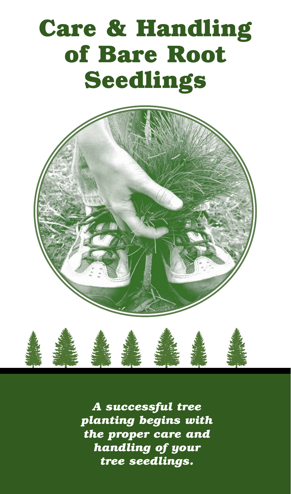# **Care & Handling of Bare Root Seedlings**





*A successful tree planting begins with the proper care and handling of your tree seedlings.*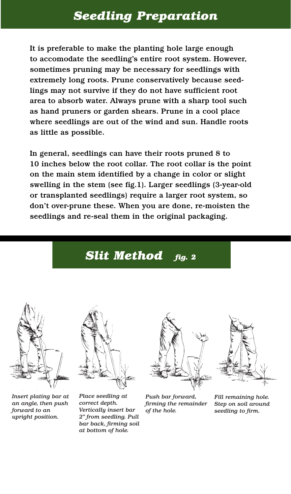## *Seedling Preparation*

It is preferable to make the planting hole large enough to accomodate the seedling's entire root system. However, sometimes pruning may be necessary for seedlings with extremely long roots. Prune conservatively because seedlings may not survive if they do not have sufficient root area to absorb water. Always prune with a sharp tool such as hand pruners or garden shears. Prune in a cool place where seedlings are out of the wind and sun. Handle roots as little as possible.

In general, seedlings can have their roots pruned 8 to 10 inches below the root collar. The root collar is the point on the main stem identified by a change in color or slight swelling in the stem (see fig.1). Larger seedlings (3-year-old or transplanted seedlings) require a larger root system, so don't over-prune these. When you are done, re-moisten the seedlings and re-seal them in the original packaging.

## *Slit Method fig. 2*



*Insert plating bar at an angle, then push forward to an upright position.*



*Place seedling at correct depth. Vertically insert bar 2" from seedling. Pull bar back, firming soil at bottom of hole.*



*Push bar forward, firming the remainder of the hole.*



*Fill remaining hole. Step on soil around seedling to firm.*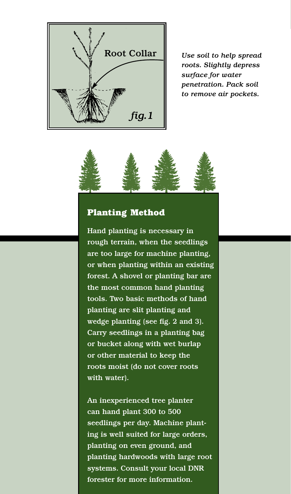

*roots. Slightly depress surface for water penetration. Pack soil to remove air pockets.*



#### **Planting Method**

Hand planting is necessary in rough terrain, when the seedlings are too large for machine planting, or when planting within an existing forest. A shovel or planting bar are the most common hand planting tools. Two basic methods of hand planting are slit planting and wedge planting (see fig. 2 and 3). Carry seedlings in a planting bag or bucket along with wet burlap or other material to keep the roots moist (do not cover roots with water).

An inexperienced tree planter can hand plant 300 to 500 seedlings per day. Machine planting is well suited for large orders, planting on even ground, and planting hardwoods with large root systems. Consult your local DNR forester for more information.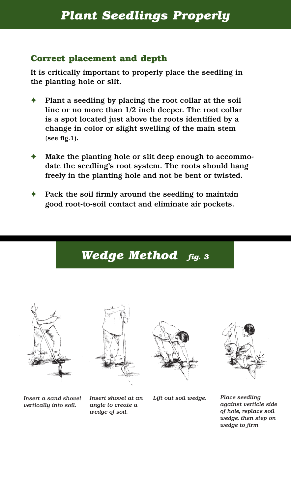#### **Correct placement and depth**

It is critically important to properly place the seedling in the planting hole or slit.

- Plant a seedling by placing the root collar at the soil line or no more than 1/2 inch deeper. The root collar is a spot located just above the roots identified by a change in color or slight swelling of the main stem (see fig.1).
- Make the planting hole or slit deep enough to accommodate the seedling's root system. The roots should hang freely in the planting hole and not be bent or twisted.
- Pack the soil firmly around the seedling to maintain good root-to-soil contact and eliminate air pockets.

*Wedge Method fig. 3*









*Insert a sand shovel vertically into soil.*

*Insert shovel at an angle to create a wedge of soil.*

*Lift out soil wedge. Place seedling*

*against verticle side of hole, replace soil wedge, then step on wedge to firm*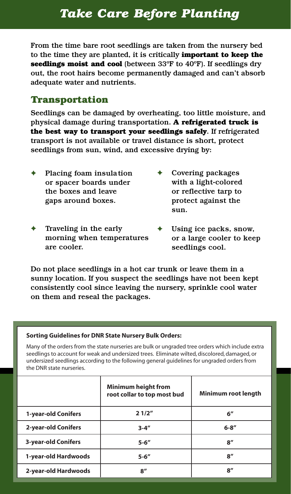## *Take Care Before Planting*

From the time bare root seedlings are taken from the nursery bed to the time they are planted, it is critically **important to keep the seedlings moist and cool** (between 33ºF to 40ºF). If seedlings dry out, the root hairs become permanently damaged and can't absorb adequate water and nutrients.

#### **Transportation**

Seedlings can be damaged by overheating, too little moisture, and physical damage during transportation. **A refrigerated truck is the best way to transport your seedlings safely**. If refrigerated transport is not available or travel distance is short, protect seedlings from sun, wind, and excessive drying by:

- Placing foam insulation or spacer boards under the boxes and leave gaps around boxes.
- Traveling in the early morning when temperatures are cooler.
- Covering packages with a light-colored or reflective tarp to protect against the sun.
- Using ice packs, snow, or a large cooler to keep seedlings cool.

Do not place seedlings in a hot car trunk or leave them in a sunny location. If you suspect the seedlings have not been kept consistently cool since leaving the nursery, sprinkle cool water on them and reseal the packages.

#### **Sorting Guidelines for DNR State Nursery Bulk Orders:**

Many of the orders from the state nurseries are bulk or ungraded tree orders which include extra seedlings to account for weak and undersized trees. Eliminate wilted, discolored, damaged, or undersized seedlings according to the following general guidelines for ungraded orders from the DNR state nurseries.

|                            | <b>Minimum height from</b><br>root collar to top most bud | Minimum root length |
|----------------------------|-----------------------------------------------------------|---------------------|
| 1-year-old Conifers        | 21/2"                                                     | $6^{\prime\prime}$  |
| 2-year-old Conifers        | $3 - 4''$                                                 | $6 - 8''$           |
| <b>3-year-old Conifers</b> | $5 - 6''$                                                 | $8^{\prime\prime}$  |
| 1-year-old Hardwoods       | $5 - 6''$                                                 | 8''                 |
| 2-year-old Hardwoods       | 8''                                                       | 8''                 |